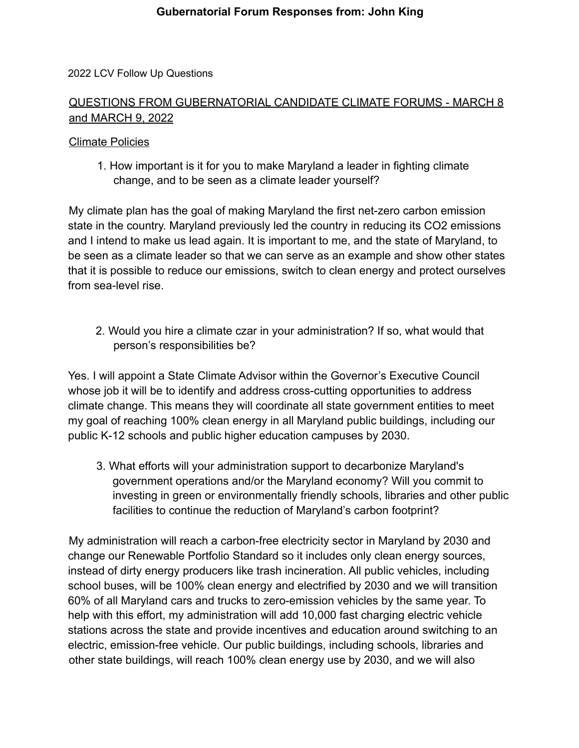#### 2022 LCV Follow Up Questions

# QUESTIONS FROM GUBERNATORIAL CANDIDATE CLIMATE FORUMS - MARCH 8 and MARCH 9, 2022

#### Climate Policies

1. How important is it for you to make Maryland a leader in fighting climate change, and to be seen as a climate leader yourself?

My climate plan has the goal of making Maryland the first net-zero carbon emission state in the country. Maryland previously led the country in reducing its CO2 emissions and I intend to make us lead again. It is important to me, and the state of Maryland, to be seen as a climate leader so that we can serve as an example and show other states that it is possible to reduce our emissions, switch to clean energy and protect ourselves from sea-level rise.

2. Would you hire a climate czar in your administration? If so, what would that person's responsibilities be?

Yes. I will appoint a State Climate Advisor within the Governor's Executive Council whose job it will be to identify and address cross-cutting opportunities to address climate change. This means they will coordinate all state government entities to meet my goal of reaching 100% clean energy in all Maryland public buildings, including our public K-12 schools and public higher education campuses by 2030.

3. What efforts will your administration support to decarbonize Maryland's government operations and/or the Maryland economy? Will you commit to investing in green or environmentally friendly schools, libraries and other public facilities to continue the reduction of Maryland's carbon footprint?

My administration will reach a carbon-free electricity sector in Maryland by 2030 and change our Renewable Portfolio Standard so it includes only clean energy sources, instead of dirty energy producers like trash incineration. All public vehicles, including school buses, will be 100% clean energy and electrified by 2030 and we will transition 60% of all Maryland cars and trucks to zero-emission vehicles by the same year. To help with this effort, my administration will add 10,000 fast charging electric vehicle stations across the state and provide incentives and education around switching to an electric, emission-free vehicle. Our public buildings, including schools, libraries and other state buildings, will reach 100% clean energy use by 2030, and we will also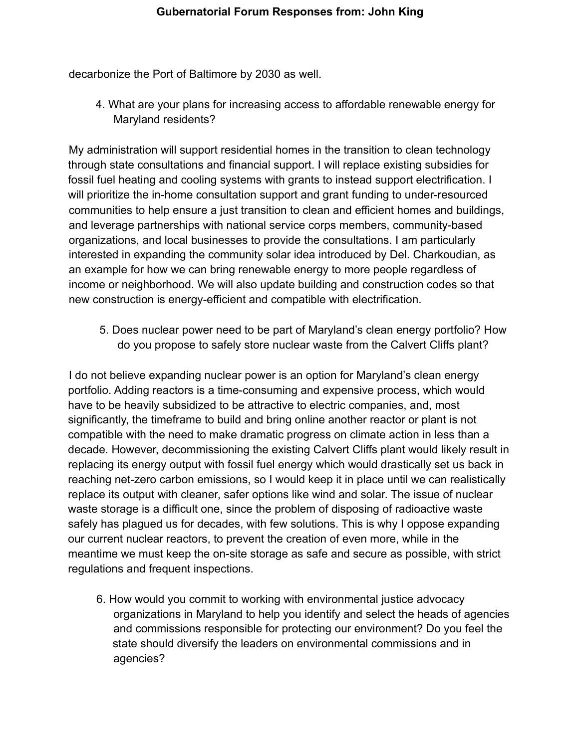decarbonize the Port of Baltimore by 2030 as well.

4. What are your plans for increasing access to affordable renewable energy for Maryland residents?

My administration will support residential homes in the transition to clean technology through state consultations and financial support. I will replace existing subsidies for fossil fuel heating and cooling systems with grants to instead support electrification. I will prioritize the in-home consultation support and grant funding to under-resourced communities to help ensure a just transition to clean and efficient homes and buildings, and leverage partnerships with national service corps members, community-based organizations, and local businesses to provide the consultations. I am particularly interested in expanding the community solar idea introduced by Del. Charkoudian, as an example for how we can bring renewable energy to more people regardless of income or neighborhood. We will also update building and construction codes so that new construction is energy-efficient and compatible with electrification.

5. Does nuclear power need to be part of Maryland's clean energy portfolio? How do you propose to safely store nuclear waste from the Calvert Cliffs plant?

I do not believe expanding nuclear power is an option for Maryland's clean energy portfolio. Adding reactors is a time-consuming and expensive process, which would have to be heavily subsidized to be attractive to electric companies, and, most significantly, the timeframe to build and bring online another reactor or plant is not compatible with the need to make dramatic progress on climate action in less than a decade. However, decommissioning the existing Calvert Cliffs plant would likely result in replacing its energy output with fossil fuel energy which would drastically set us back in reaching net-zero carbon emissions, so I would keep it in place until we can realistically replace its output with cleaner, safer options like wind and solar. The issue of nuclear waste storage is a difficult one, since the problem of disposing of radioactive waste safely has plagued us for decades, with few solutions. This is why I oppose expanding our current nuclear reactors, to prevent the creation of even more, while in the meantime we must keep the on-site storage as safe and secure as possible, with strict regulations and frequent inspections.

6. How would you commit to working with environmental justice advocacy organizations in Maryland to help you identify and select the heads of agencies and commissions responsible for protecting our environment? Do you feel the state should diversify the leaders on environmental commissions and in agencies?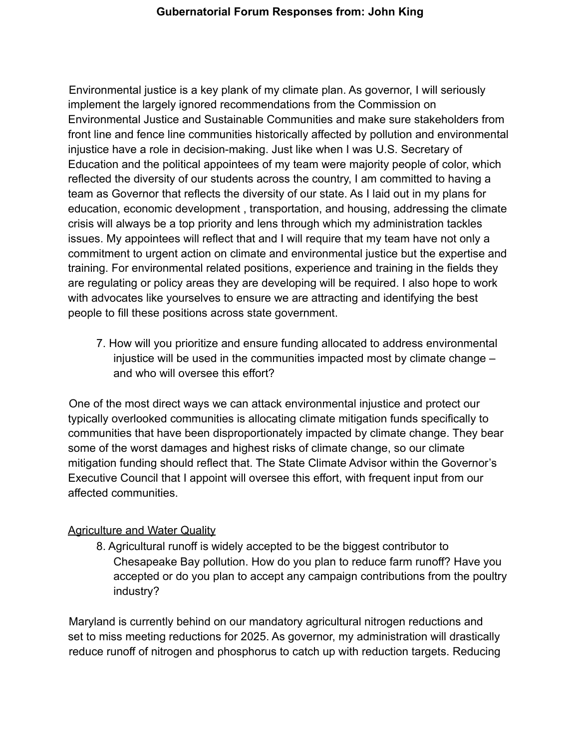Environmental justice is a key plank of my climate plan. As governor, I will seriously implement the largely ignored recommendations from the Commission on Environmental Justice and Sustainable Communities and make sure stakeholders from front line and fence line communities historically affected by pollution and environmental injustice have a role in decision-making. Just like when I was U.S. Secretary of Education and the political appointees of my team were majority people of color, which reflected the diversity of our students across the country, I am committed to having a team as Governor that reflects the diversity of our state. As I laid out in my plans for education, economic development , transportation, and housing, addressing the climate crisis will always be a top priority and lens through which my administration tackles issues. My appointees will reflect that and I will require that my team have not only a commitment to urgent action on climate and environmental justice but the expertise and training. For environmental related positions, experience and training in the fields they are regulating or policy areas they are developing will be required. I also hope to work with advocates like yourselves to ensure we are attracting and identifying the best people to fill these positions across state government.

7. How will you prioritize and ensure funding allocated to address environmental injustice will be used in the communities impacted most by climate change – and who will oversee this effort?

One of the most direct ways we can attack environmental injustice and protect our typically overlooked communities is allocating climate mitigation funds specifically to communities that have been disproportionately impacted by climate change. They bear some of the worst damages and highest risks of climate change, so our climate mitigation funding should reflect that. The State Climate Advisor within the Governor's Executive Council that I appoint will oversee this effort, with frequent input from our affected communities.

# Agriculture and Water Quality

8. Agricultural runoff is widely accepted to be the biggest contributor to Chesapeake Bay pollution. How do you plan to reduce farm runoff? Have you accepted or do you plan to accept any campaign contributions from the poultry industry?

Maryland is currently behind on our mandatory agricultural nitrogen reductions and set to miss meeting reductions for 2025. As governor, my administration will drastically reduce runoff of nitrogen and phosphorus to catch up with reduction targets. Reducing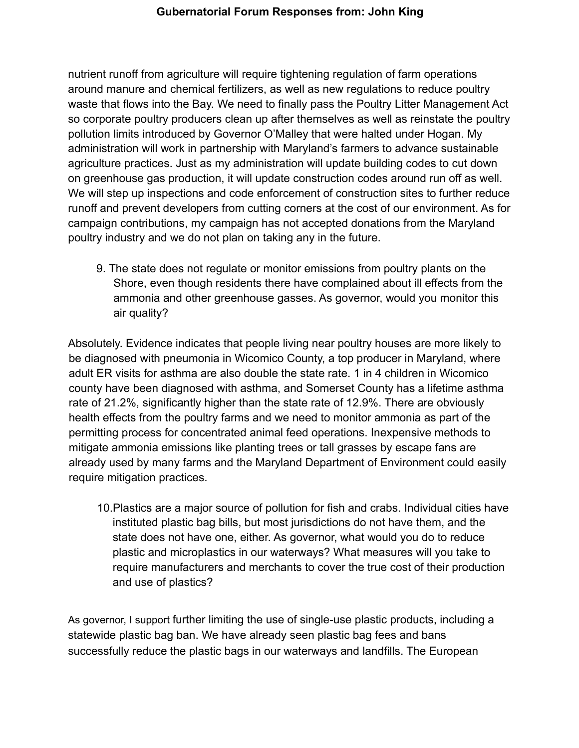nutrient runoff from agriculture will require tightening regulation of farm operations around manure and chemical fertilizers, as well as new regulations to reduce poultry waste that flows into the Bay. We need to finally pass the Poultry Litter Management Act so corporate poultry producers clean up after themselves as well as reinstate the poultry pollution limits introduced by Governor O'Malley that were halted under Hogan. My administration will work in partnership with Maryland's farmers to advance sustainable agriculture practices. Just as my administration will update building codes to cut down on greenhouse gas production, it will update construction codes around run off as well. We will step up inspections and code enforcement of construction sites to further reduce runoff and prevent developers from cutting corners at the cost of our environment. As for campaign contributions, my campaign has not accepted donations from the Maryland poultry industry and we do not plan on taking any in the future.

9. The state does not regulate or monitor emissions from poultry plants on the Shore, even though residents there have complained about ill effects from the ammonia and other greenhouse gasses. As governor, would you monitor this air quality?

Absolutely. Evidence indicates that people living near poultry houses are more likely to be diagnosed with pneumonia in Wicomico County, a top producer in Maryland, where adult ER visits for asthma are also double the state rate. 1 in 4 children in Wicomico county have been diagnosed with asthma, and Somerset County has a lifetime asthma rate of 21.2%, significantly higher than the state rate of 12.9%. There are obviously health effects from the poultry farms and we need to monitor ammonia as part of the permitting process for concentrated animal feed operations. Inexpensive methods to mitigate ammonia emissions like planting trees or tall grasses by escape fans are already used by many farms and the Maryland Department of Environment could easily require mitigation practices.

10.Plastics are a major source of pollution for fish and crabs. Individual cities have instituted plastic bag bills, but most jurisdictions do not have them, and the state does not have one, either. As governor, what would you do to reduce plastic and microplastics in our waterways? What measures will you take to require manufacturers and merchants to cover the true cost of their production and use of plastics?

As governor, I support further limiting the use of single-use plastic products, including a statewide plastic bag ban. We have already seen plastic bag fees and bans successfully reduce the plastic bags in our waterways and landfills. The European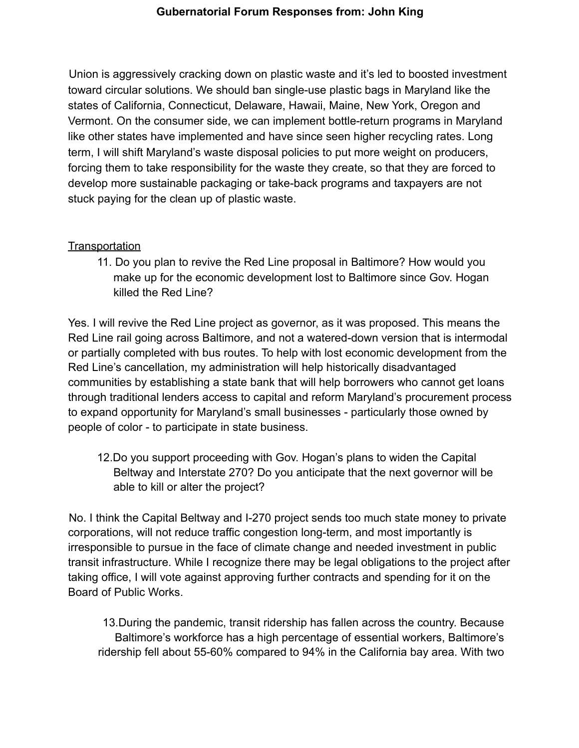Union is aggressively cracking down on plastic waste and it's led to boosted investment toward circular solutions. We should ban single-use plastic bags in Maryland like the states of California, Connecticut, Delaware, Hawaii, Maine, New York, Oregon and Vermont. On the consumer side, we can implement bottle-return programs in Maryland like other states have implemented and have since seen higher recycling rates. Long term, I will shift Maryland's waste disposal policies to put more weight on producers, forcing them to take responsibility for the waste they create, so that they are forced to develop more sustainable packaging or take-back programs and taxpayers are not stuck paying for the clean up of plastic waste.

# **Transportation**

11. Do you plan to revive the Red Line proposal in Baltimore? How would you make up for the economic development lost to Baltimore since Gov. Hogan killed the Red Line?

Yes. I will revive the Red Line project as governor, as it was proposed. This means the Red Line rail going across Baltimore, and not a watered-down version that is intermodal or partially completed with bus routes. To help with lost economic development from the Red Line's cancellation, my administration will help historically disadvantaged communities by establishing a state bank that will help borrowers who cannot get loans through traditional lenders access to capital and reform Maryland's procurement process to expand opportunity for Maryland's small businesses - particularly those owned by people of color - to participate in state business.

12.Do you support proceeding with Gov. Hogan's plans to widen the Capital Beltway and Interstate 270? Do you anticipate that the next governor will be able to kill or alter the project?

No. I think the Capital Beltway and I-270 project sends too much state money to private corporations, will not reduce traffic congestion long-term, and most importantly is irresponsible to pursue in the face of climate change and needed investment in public transit infrastructure. While I recognize there may be legal obligations to the project after taking office, I will vote against approving further contracts and spending for it on the Board of Public Works.

13.During the pandemic, transit ridership has fallen across the country. Because Baltimore's workforce has a high percentage of essential workers, Baltimore's ridership fell about 55-60% compared to 94% in the California bay area. With two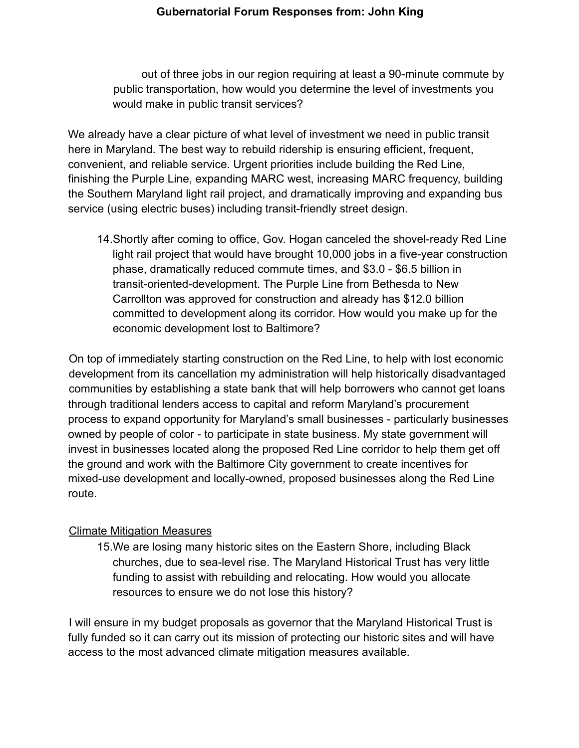out of three jobs in our region requiring at least a 90-minute commute by public transportation, how would you determine the level of investments you would make in public transit services?

We already have a clear picture of what level of investment we need in public transit here in Maryland. The best way to rebuild ridership is ensuring efficient, frequent, convenient, and reliable service. Urgent priorities include building the Red Line, finishing the Purple Line, expanding MARC west, increasing MARC frequency, building the Southern Maryland light rail project, and dramatically improving and expanding bus service (using electric buses) including transit-friendly street design.

14.Shortly after coming to office, Gov. Hogan canceled the shovel-ready Red Line light rail project that would have brought 10,000 jobs in a five-year construction phase, dramatically reduced commute times, and \$3.0 - \$6.5 billion in transit-oriented-development. The Purple Line from Bethesda to New Carrollton was approved for construction and already has \$12.0 billion committed to development along its corridor. How would you make up for the economic development lost to Baltimore?

On top of immediately starting construction on the Red Line, to help with lost economic development from its cancellation my administration will help historically disadvantaged communities by establishing a state bank that will help borrowers who cannot get loans through traditional lenders access to capital and reform Maryland's procurement process to expand opportunity for Maryland's small businesses - particularly businesses owned by people of color - to participate in state business. My state government will invest in businesses located along the proposed Red Line corridor to help them get off the ground and work with the Baltimore City government to create incentives for mixed-use development and locally-owned, proposed businesses along the Red Line route.

#### Climate Mitigation Measures

15.We are losing many historic sites on the Eastern Shore, including Black churches, due to sea-level rise. The Maryland Historical Trust has very little funding to assist with rebuilding and relocating. How would you allocate resources to ensure we do not lose this history?

I will ensure in my budget proposals as governor that the Maryland Historical Trust is fully funded so it can carry out its mission of protecting our historic sites and will have access to the most advanced climate mitigation measures available.